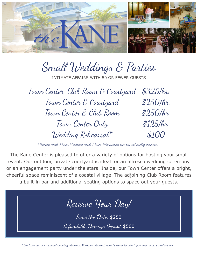

Small Weddings & Parties INTIMATE AFFAIRS WITH 50 OR FEWER GUESTS Town Center, Club Room & Courtyard \$325/hr. Town Center & Courtyard \$250/hr. Town Center & Club Room \$250/hr. Town Center Only \$125/hr.

Wedding Rehearsal\* \$100

*Minimum rental: 3 hours. Maximum rental: 8 hours. Price excludes sales tax and liability insurance.*

The Kane Center is pleased to offer a variety of options for hosting your small event. Our outdoor, private courtyard is ideal for an alfresco wedding ceremony or an engagement party under the stars. Inside, our Town Center offers a bright, cheerful space reminiscent of a coastal village. The adjoining Club Room features a built-in bar and additional seating options to space out your guests.

Reserve Your Day! Save the Date: \$250 Refundable Damage Deposit \$500

*\*The Kane does not coordinate wedding rehearsals. Weekday rehearsals must be scheduled after 5 p.m. and cannot exceed two hours.*